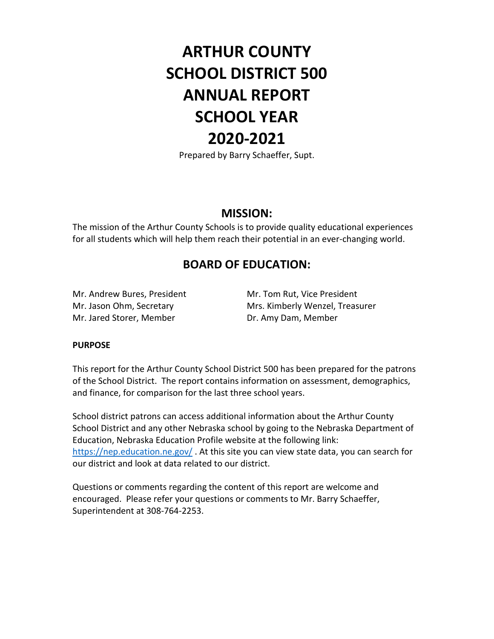# **ARTHUR COUNTY SCHOOL DISTRICT 500 ANNUAL REPORT SCHOOL YEAR 2020-2021**

Prepared by Barry Schaeffer, Supt.

# **MISSION:**

The mission of the Arthur County Schools is to provide quality educational experiences for all students which will help them reach their potential in an ever-changing world.

# **BOARD OF EDUCATION:**

Mr. Jared Storer, Member Dr. Amy Dam, Member

Mr. Andrew Bures, President Mr. Tom Rut, Vice President Mr. Jason Ohm, Secretary **Mrs. Kimberly Wenzel, Treasurer** 

#### **PURPOSE**

This report for the Arthur County School District 500 has been prepared for the patrons of the School District. The report contains information on assessment, demographics, and finance, for comparison for the last three school years.

School district patrons can access additional information about the Arthur County School District and any other Nebraska school by going to the Nebraska Department of Education, Nebraska Education Profile website at the following link: <https://nep.education.ne.gov/>. At this site you can view state data, you can search for our district and look at data related to our district.

Questions or comments regarding the content of this report are welcome and encouraged. Please refer your questions or comments to Mr. Barry Schaeffer, Superintendent at 308-764-2253.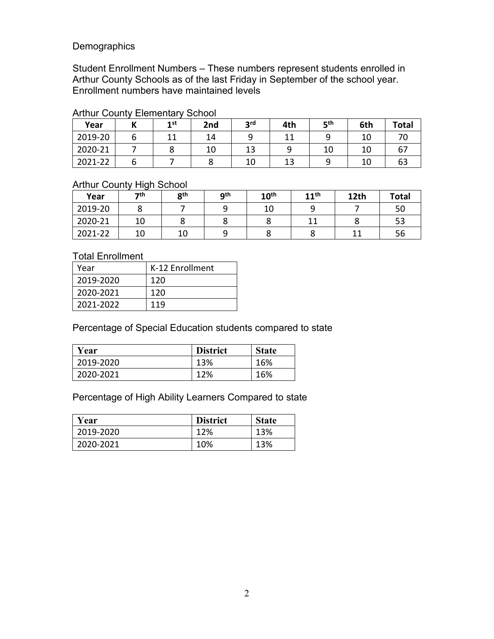## **Demographics**

Student Enrollment Numbers – These numbers represent students enrolled in Arthur County Schools as of the last Friday in September of the school year. Enrollment numbers have maintained levels

| Year    |  | 1 <sub>st</sub> | 2nd | <b>2rd</b> | 4th    | ∟⊏th | 6th | <b>Total</b> |
|---------|--|-----------------|-----|------------|--------|------|-----|--------------|
| 2019-20 |  |                 | 14  |            | $\sim$ |      |     |              |
| 2020-21 |  |                 | 10  | 13         |        |      |     |              |
| 2021-22 |  |                 |     | 10         | 12     |      |     |              |

#### Arthur County Elementary School

#### Arthur County High School

| Year    | 7 <sup>th</sup> | 8 <sup>th</sup> | <b>gth</b> | 10 <sup>th</sup> | 11 <sup>th</sup> | 12th | <b>Total</b> |
|---------|-----------------|-----------------|------------|------------------|------------------|------|--------------|
| 2019-20 |                 |                 |            | 10               |                  |      | 50           |
| 2020-21 | 10              |                 |            | о                |                  |      | 53           |
| 2021-22 | 10              | 10              |            |                  |                  |      | 56           |

#### Total Enrollment

| Year      | K-12 Enrollment |
|-----------|-----------------|
| 2019-2020 | 120             |
| 2020-2021 | 120             |
| 2021-2022 | 119             |

Percentage of Special Education students compared to state

| Year      | <b>District</b> | <b>State</b> |
|-----------|-----------------|--------------|
| 2019-2020 | 13%             | 16%          |
| 2020-2021 | 12%             | 16%          |

Percentage of High Ability Learners Compared to state

| Year      | <b>District</b> | <b>State</b> |
|-----------|-----------------|--------------|
| 2019-2020 | 12%             | 13%          |
| 2020-2021 | 10%             | 13%          |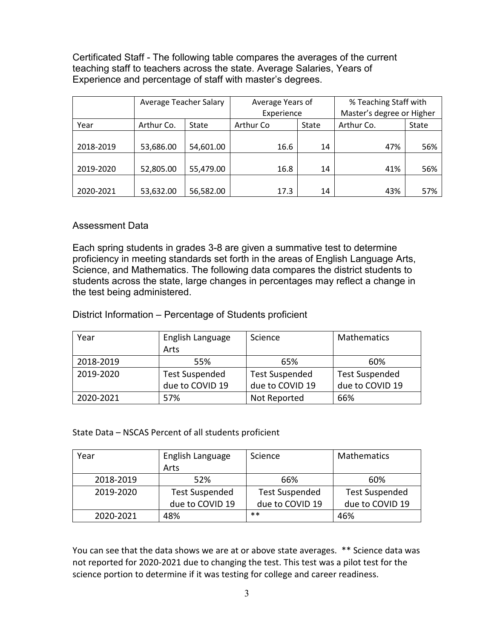Certificated Staff - The following table compares the averages of the current teaching staff to teachers across the state. Average Salaries, Years of Experience and percentage of staff with master's degrees.

|           | Average Teacher Salary |              | Average Years of |      |              | % Teaching Staff with     |       |  |
|-----------|------------------------|--------------|------------------|------|--------------|---------------------------|-------|--|
|           |                        |              | Experience       |      |              | Master's degree or Higher |       |  |
| Year      | Arthur Co.             | <b>State</b> | Arthur Co        |      | <b>State</b> | Arthur Co.                | State |  |
|           |                        |              |                  |      |              |                           |       |  |
| 2018-2019 | 53,686.00              | 54,601.00    |                  | 16.6 | 14           | 47%                       | 56%   |  |
|           |                        |              |                  |      |              |                           |       |  |
| 2019-2020 | 52,805.00              | 55,479.00    |                  | 16.8 | 14           | 41%                       | 56%   |  |
|           |                        |              |                  |      |              |                           |       |  |
| 2020-2021 | 53,632.00              | 56,582.00    |                  | 17.3 | 14           | 43%                       | 57%   |  |

#### Assessment Data

Each spring students in grades 3-8 are given a summative test to determine proficiency in meeting standards set forth in the areas of English Language Arts, Science, and Mathematics. The following data compares the district students to students across the state, large changes in percentages may reflect a change in the test being administered.

District Information – Percentage of Students proficient

| Year      | English Language      | Science               | <b>Mathematics</b>    |
|-----------|-----------------------|-----------------------|-----------------------|
|           | Arts                  |                       |                       |
| 2018-2019 | 55%                   | 65%                   | 60%                   |
| 2019-2020 | <b>Test Suspended</b> | <b>Test Suspended</b> | <b>Test Suspended</b> |
|           | due to COVID 19       | due to COVID 19       | due to COVID 19       |
| 2020-2021 | 57%                   | Not Reported          | 66%                   |

State Data – NSCAS Percent of all students proficient

| Year      | English Language      | Science               | Mathematics           |
|-----------|-----------------------|-----------------------|-----------------------|
|           | Arts                  |                       |                       |
| 2018-2019 | 52%                   | 66%                   | 60%                   |
| 2019-2020 | <b>Test Suspended</b> | <b>Test Suspended</b> | <b>Test Suspended</b> |
|           | due to COVID 19       | due to COVID 19       | due to COVID 19       |
| 2020-2021 | 48%                   | $***$                 | 46%                   |

You can see that the data shows we are at or above state averages. \*\* Science data was not reported for 2020-2021 due to changing the test. This test was a pilot test for the science portion to determine if it was testing for college and career readiness.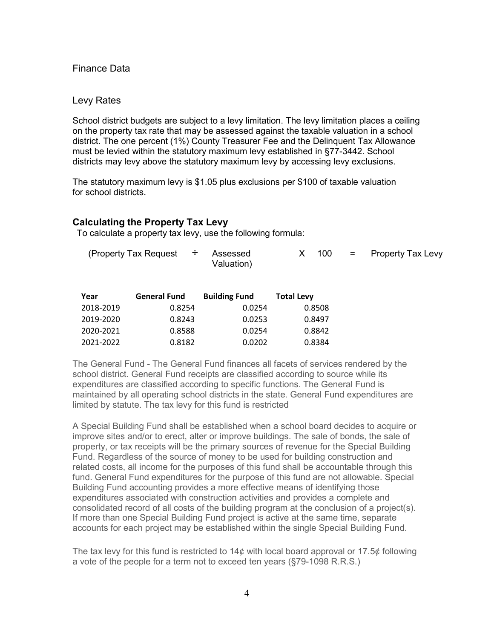#### Finance Data

#### Levy Rates

School district budgets are subject to a levy limitation. The levy limitation places a ceiling on the property tax rate that may be assessed against the taxable valuation in a school district. The one percent (1%) County Treasurer Fee and the Delinquent Tax Allowance must be levied within the statutory maximum levy established in §77-3442. School districts may levy above the statutory maximum levy by accessing levy exclusions.

The statutory maximum levy is \$1.05 plus exclusions per \$100 of taxable valuation for school districts.

#### **Calculating the Property Tax Levy**

To calculate a property tax levy, use the following formula:

2021-2022 0.8182 0.0202 0.8384

|           | ÷.<br>(Property Tax Request | Assessed<br>Valuation) | X<br>100          | $=$ | <b>Property Tax Levy</b> |
|-----------|-----------------------------|------------------------|-------------------|-----|--------------------------|
| Year      | <b>General Fund</b>         | <b>Building Fund</b>   | <b>Total Levy</b> |     |                          |
| 2018-2019 | 0.8254                      | 0.0254                 | 0.8508            |     |                          |
| 2019-2020 | 0.8243                      | 0.0253                 | 0.8497            |     |                          |
| 2020-2021 | 0.8588                      | 0.0254                 | 0.8842            |     |                          |

The General Fund - The General Fund finances all facets of services rendered by the school district. General Fund receipts are classified according to source while its expenditures are classified according to specific functions. The General Fund is maintained by all operating school districts in the state. General Fund expenditures are limited by statute. The tax levy for this fund is restricted

A Special Building Fund shall be established when a school board decides to acquire or improve sites and/or to erect, alter or improve buildings. The sale of bonds, the sale of property, or tax receipts will be the primary sources of revenue for the Special Building Fund. Regardless of the source of money to be used for building construction and related costs, all income for the purposes of this fund shall be accountable through this fund. General Fund expenditures for the purpose of this fund are not allowable. Special Building Fund accounting provides a more effective means of identifying those expenditures associated with construction activities and provides a complete and consolidated record of all costs of the building program at the conclusion of a project(s). If more than one Special Building Fund project is active at the same time, separate accounts for each project may be established within the single Special Building Fund.

The tax levy for this fund is restricted to 14¢ with local board approval or 17.5¢ following a vote of the people for a term not to exceed ten years (§79-1098 R.R.S.)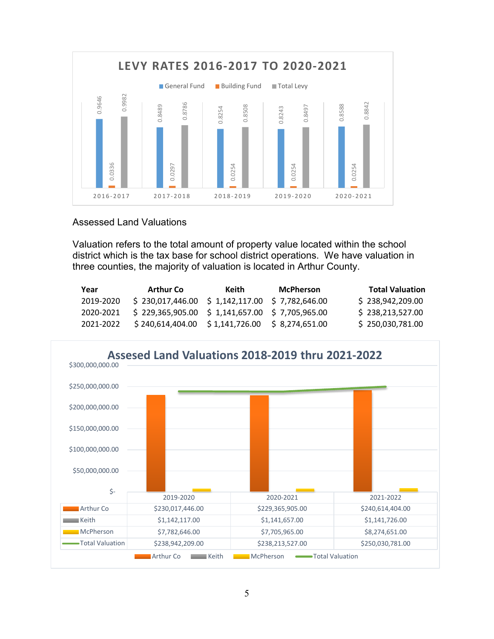

#### Assessed Land Valuations

Valuation refers to the total amount of property value located within the school district which is the tax base for school district operations. We have valuation in three counties, the majority of valuation is located in Arthur County.

| Year      | Arthur Co                                           | Keith | <b>McPherson</b> | <b>Total Valuation</b> |
|-----------|-----------------------------------------------------|-------|------------------|------------------------|
| 2019-2020 | $$230,017,446.00 \t$ 1,142,117.00 \t$ 7,782,646.00$ |       |                  | \$238,942,209.00       |
| 2020-2021 | $$229,365,905.00 \t$ 1,141,657.00 \t$ 7,705,965.00$ |       |                  | \$238,213,527.00       |
| 2021-2022 | $$240,614,404.00 \t$1,141,726.00 \t$8.274.651.00$   |       |                  | \$250,030,781.00       |

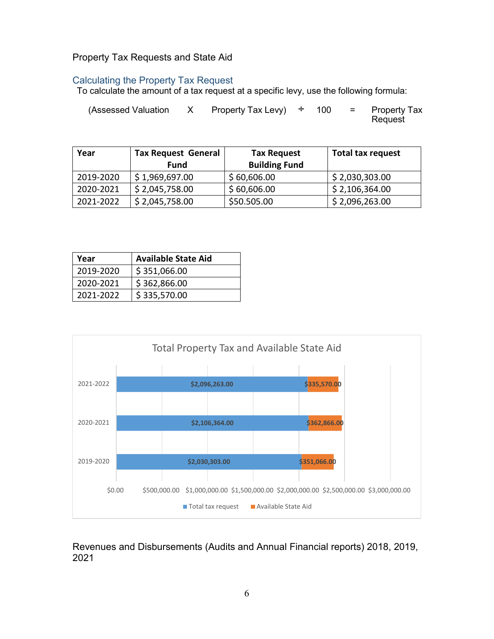### Property Tax Requests and State Aid

#### Calculating the Property Tax Request

To calculate the amount of a tax request at a specific levy, use the following formula:

| (Assessed Valuation X Property Tax Levy) $\div$ 100 |  |  | = Property Tax<br>Request |
|-----------------------------------------------------|--|--|---------------------------|
|                                                     |  |  |                           |

| Year      | <b>Tax Request General</b> | <b>Tax Request</b>   | Total tax request |
|-----------|----------------------------|----------------------|-------------------|
|           | <b>Fund</b>                | <b>Building Fund</b> |                   |
| 2019-2020 | \$1,969,697.00             | \$60,606.00          | \$2,030,303.00    |
| 2020-2021 | \$2,045,758.00             | \$60,606.00          | \$2,106,364.00    |
| 2021-2022 | \$2,045,758.00             | \$50.505.00          | \$2,096,263.00    |

| Year      | <b>Available State Aid</b> |
|-----------|----------------------------|
| 2019-2020 | \$351,066.00               |
| 2020-2021 | \$362,866.00               |
| 2021-2022 | \$335,570.00               |



Revenues and Disbursements (Audits and Annual Financial reports) 2018, 2019, 2021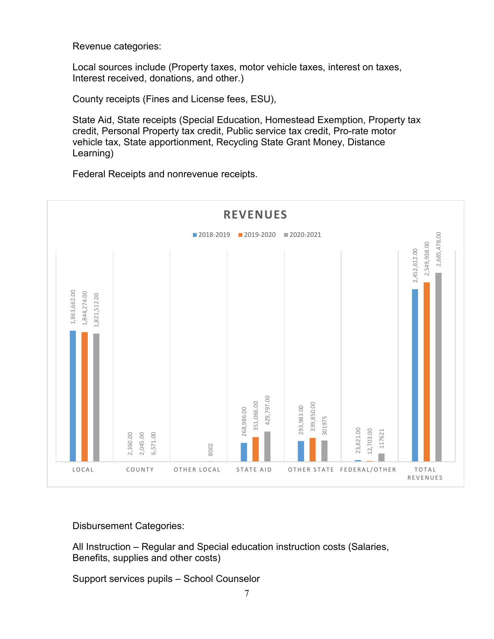Revenue categories:

Local sources include (Property taxes, motor vehicle taxes, interest on taxes, Interest received, donations, and other.)

County receipts (Fines and License fees, ESU),

State Aid, State receipts (Special Education, Homestead Exemption, Property tax credit, Personal Property tax credit, Public service tax credit, Pro-rate motor vehicle tax, State apportionment, Recycling State Grant Money, Distance Learning)

Federal Receipts and nonrevenue receipts.



Disbursement Categories:

All Instruction – Regular and Special education instruction costs (Salaries, Benefits, supplies and other costs)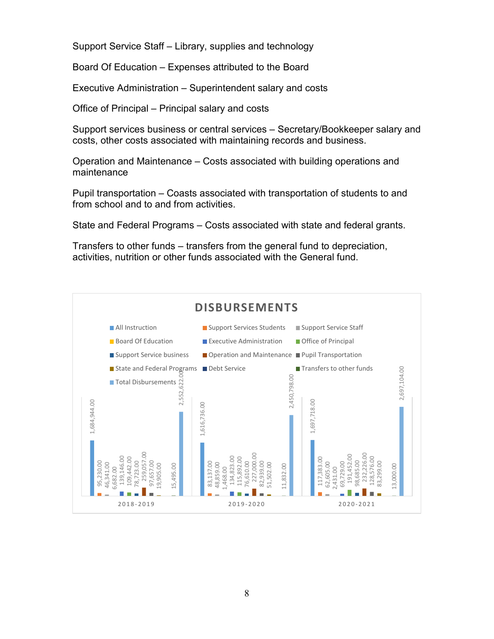Support Service Staff – Library, supplies and technology

Board Of Education – Expenses attributed to the Board

Executive Administration – Superintendent salary and costs

Office of Principal – Principal salary and costs

Support services business or central services – Secretary/Bookkeeper salary and costs, other costs associated with maintaining records and business.

Operation and Maintenance – Costs associated with building operations and maintenance

Pupil transportation – Coasts associated with transportation of students to and from school and to and from activities.

State and Federal Programs – Costs associated with state and federal grants.

Transfers to other funds – transfers from the general fund to depreciation, activities, nutrition or other funds associated with the General fund.